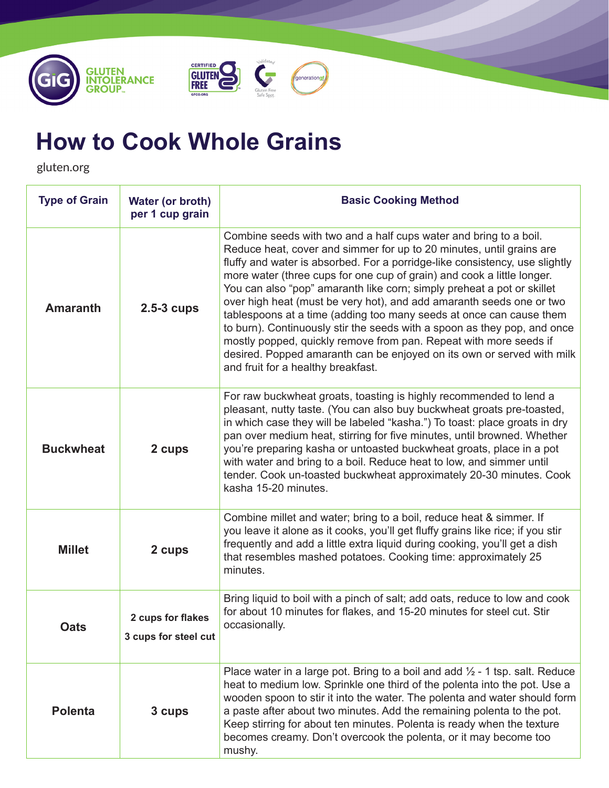





# **How to Cook Whole Grains**

gluten.org

| <b>Type of Grain</b> | Water (or broth)<br>per 1 cup grain       | <b>Basic Cooking Method</b>                                                                                                                                                                                                                                                                                                                                                                                                                                                                                                                                                                                                                                                                                                                                                                  |
|----------------------|-------------------------------------------|----------------------------------------------------------------------------------------------------------------------------------------------------------------------------------------------------------------------------------------------------------------------------------------------------------------------------------------------------------------------------------------------------------------------------------------------------------------------------------------------------------------------------------------------------------------------------------------------------------------------------------------------------------------------------------------------------------------------------------------------------------------------------------------------|
| <b>Amaranth</b>      | $2.5-3$ cups                              | Combine seeds with two and a half cups water and bring to a boil.<br>Reduce heat, cover and simmer for up to 20 minutes, until grains are<br>fluffy and water is absorbed. For a porridge-like consistency, use slightly<br>more water (three cups for one cup of grain) and cook a little longer.<br>You can also "pop" amaranth like corn; simply preheat a pot or skillet<br>over high heat (must be very hot), and add amaranth seeds one or two<br>tablespoons at a time (adding too many seeds at once can cause them<br>to burn). Continuously stir the seeds with a spoon as they pop, and once<br>mostly popped, quickly remove from pan. Repeat with more seeds if<br>desired. Popped amaranth can be enjoyed on its own or served with milk<br>and fruit for a healthy breakfast. |
| <b>Buckwheat</b>     | 2 cups                                    | For raw buckwheat groats, toasting is highly recommended to lend a<br>pleasant, nutty taste. (You can also buy buckwheat groats pre-toasted,<br>in which case they will be labeled "kasha.") To toast: place groats in dry<br>pan over medium heat, stirring for five minutes, until browned. Whether<br>you're preparing kasha or untoasted buckwheat groats, place in a pot<br>with water and bring to a boil. Reduce heat to low, and simmer until<br>tender. Cook un-toasted buckwheat approximately 20-30 minutes. Cook<br>kasha 15-20 minutes.                                                                                                                                                                                                                                         |
| <b>Millet</b>        | 2 cups                                    | Combine millet and water; bring to a boil, reduce heat & simmer. If<br>you leave it alone as it cooks, you'll get fluffy grains like rice; if you stir<br>frequently and add a little extra liquid during cooking, you'll get a dish<br>that resembles mashed potatoes. Cooking time: approximately 25<br>minutes.                                                                                                                                                                                                                                                                                                                                                                                                                                                                           |
| <b>Oats</b>          | 2 cups for flakes<br>3 cups for steel cut | Bring liquid to boil with a pinch of salt; add oats, reduce to low and cook<br>for about 10 minutes for flakes, and 15-20 minutes for steel cut. Stir<br>occasionally.                                                                                                                                                                                                                                                                                                                                                                                                                                                                                                                                                                                                                       |
| <b>Polenta</b>       | 3 cups                                    | Place water in a large pot. Bring to a boil and add $\frac{1}{2}$ - 1 tsp. salt. Reduce<br>heat to medium low. Sprinkle one third of the polenta into the pot. Use a<br>wooden spoon to stir it into the water. The polenta and water should form<br>a paste after about two minutes. Add the remaining polenta to the pot.<br>Keep stirring for about ten minutes. Polenta is ready when the texture<br>becomes creamy. Don't overcook the polenta, or it may become too<br>mushy.                                                                                                                                                                                                                                                                                                          |